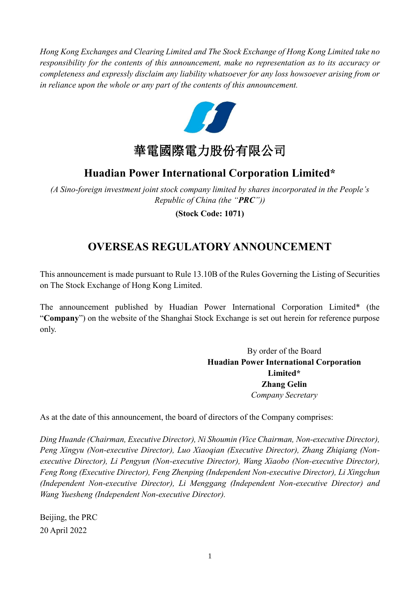*Hong Kong Exchanges and Clearing Limited and The Stock Exchange of Hong Kong Limited take no responsibility for the contents of this announcement, make no representation as to its accuracy or completeness and expressly disclaim any liability whatsoever for any loss howsoever arising from or in reliance upon the whole or any part of the contents of this announcement.*



# **Huadian Power International Corporation Limited\***

*(A Sino-foreign investment joint stock company limited by shares incorporated in the People's Republic of China (the "PRC"))*

**(Stock Code: 1071)**

# **OVERSEAS REGULATORY ANNOUNCEMENT**

This announcement is made pursuant to Rule 13.10B of the Rules Governing the Listing of Securities on The Stock Exchange of Hong Kong Limited.

The announcement published by Huadian Power International Corporation Limited\* (the "**Company**") on the website of the Shanghai Stock Exchange is set out herein for reference purpose only.

> By order of the Board **Huadian Power International Corporation Limited\* Zhang Gelin** *Company Secretary*

As at the date of this announcement, the board of directors of the Company comprises:

*Ding Huande (Chairman, Executive Director), Ni Shoumin (Vice Chairman, Non-executive Director), Peng Xingyu (Non-executive Director), Luo Xiaoqian (Executive Director), Zhang Zhiqiang (Nonexecutive Director), Li Pengyun (Non-executive Director), Wang Xiaobo (Non-executive Director), Feng Rong (Executive Director), Feng Zhenping (Independent Non-executive Director), Li Xingchun (Independent Non-executive Director), Li Menggang (Independent Non-executive Director) and Wang Yuesheng (Independent Non-executive Director).*

Beijing, the PRC 20 April 2022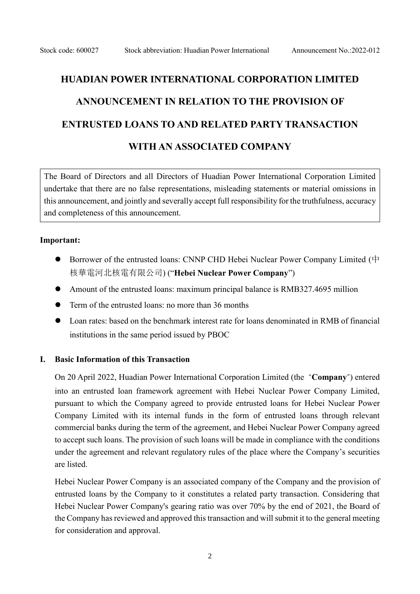# **HUADIAN POWER INTERNATIONAL CORPORATION LIMITED ANNOUNCEMENT IN RELATION TO THE PROVISION OF ENTRUSTED LOANS TO AND RELATED PARTY TRANSACTION WITH AN ASSOCIATED COMPANY**

The Board of Directors and all Directors of Huadian Power International Corporation Limited undertake that there are no false representations, misleading statements or material omissions in this announcement, and jointly and severally accept full responsibility for the truthfulness, accuracy and completeness of this announcement.

#### **Important:**

- Borrower of the entrusted loans: CNNP CHD Hebei Nuclear Power Company Limited (中 核華電河北核電有限公司) ("**Hebei Nuclear Power Company**")
- ⚫ Amount of the entrusted loans: maximum principal balance is RMB327.4695 million
- Term of the entrusted loans: no more than 36 months
- ⚫ Loan rates: based on the benchmark interest rate for loans denominated in RMB of financial institutions in the same period issued by PBOC

#### **I. Basic Information of this Transaction**

On 20 April 2022, Huadian Power International Corporation Limited (the "**Company**") entered into an entrusted loan framework agreement with Hebei Nuclear Power Company Limited, pursuant to which the Company agreed to provide entrusted loans for Hebei Nuclear Power Company Limited with its internal funds in the form of entrusted loans through relevant commercial banks during the term of the agreement, and Hebei Nuclear Power Company agreed to accept such loans. The provision of such loans will be made in compliance with the conditions under the agreement and relevant regulatory rules of the place where the Company's securities are listed.

Hebei Nuclear Power Company is an associated company of the Company and the provision of entrusted loans by the Company to it constitutes a related party transaction. Considering that Hebei Nuclear Power Company's gearing ratio was over 70% by the end of 2021, the Board of the Company has reviewed and approved this transaction and will submit it to the general meeting for consideration and approval.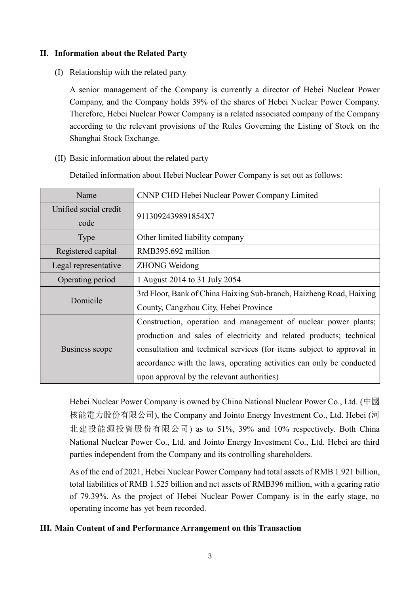## **II. Information about the Related Party**

(I) Relationship with the related party

A senior management of the Company is currently a director of Hebei Nuclear Power Company, and the Company holds 39% of the shares of Hebei Nuclear Power Company. Therefore, Hebei Nuclear Power Company is a related associated company of the Company according to the relevant provisions of the Rules Governing the Listing of Stock on the Shanghai Stock Exchange.

(II) Basic information about the related party

Detailed information about Hebei Nuclear Power Company is set out as follows:

| Name                  | CNNP CHD Hebei Nuclear Power Company Limited                          |
|-----------------------|-----------------------------------------------------------------------|
| Unified social credit | 9113092439891854X7                                                    |
| code                  |                                                                       |
| <b>Type</b>           | Other limited liability company                                       |
| Registered capital    | RMB395.692 million                                                    |
| Legal representative  | <b>ZHONG Weidong</b>                                                  |
| Operating period      | 1 August 2014 to 31 July 2054                                         |
| Domicile              | 3rd Floor, Bank of China Haixing Sub-branch, Haizheng Road, Haixing   |
|                       | County, Cangzhou City, Hebei Province                                 |
| Business scope        | Construction, operation and management of nuclear power plants;       |
|                       | production and sales of electricity and related products; technical   |
|                       | consultation and technical services (for items subject to approval in |
|                       | accordance with the laws, operating activities can only be conducted  |
|                       | upon approval by the relevant authorities)                            |

Hebei Nuclear Power Company is owned by China National Nuclear Power Co., Ltd. (中國 核能電力股份有限公司), the Company and Jointo Energy Investment Co., Ltd. Hebei (河 北建投能源投資股份有限公司) as to 51%, 39% and 10% respectively. Both China National Nuclear Power Co., Ltd. and Jointo Energy Investment Co., Ltd. Hebei are third parties independent from the Company and its controlling shareholders.

As of the end of 2021, Hebei Nuclear Power Company had total assets of RMB 1.921 billion, total liabilities of RMB 1.525 billion and net assets of RMB396 million, with a gearing ratio of 79.39%. As the project of Hebei Nuclear Power Company is in the early stage, no operating income has yet been recorded.

## **III. Main Content of and Performance Arrangement on this Transaction**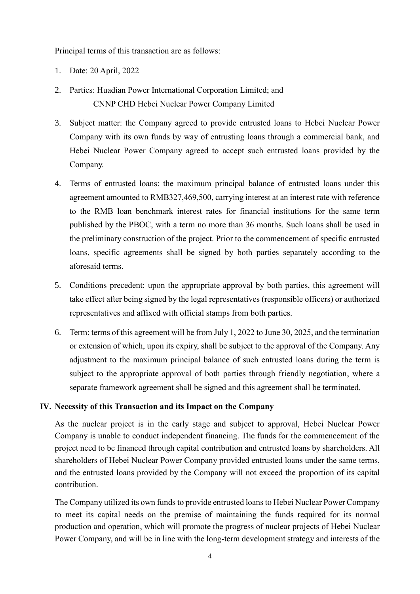Principal terms of this transaction are as follows:

- 1. Date: 20 April, 2022
- 2. Parties: Huadian Power International Corporation Limited; and CNNP CHD Hebei Nuclear Power Company Limited
- 3. Subject matter: the Company agreed to provide entrusted loans to Hebei Nuclear Power Company with its own funds by way of entrusting loans through a commercial bank, and Hebei Nuclear Power Company agreed to accept such entrusted loans provided by the Company.
- 4. Terms of entrusted loans: the maximum principal balance of entrusted loans under this agreement amounted to RMB327,469,500, carrying interest at an interest rate with reference to the RMB loan benchmark interest rates for financial institutions for the same term published by the PBOC, with a term no more than 36 months. Such loans shall be used in the preliminary construction of the project. Prior to the commencement of specific entrusted loans, specific agreements shall be signed by both parties separately according to the aforesaid terms.
- 5. Conditions precedent: upon the appropriate approval by both parties, this agreement will take effect after being signed by the legal representatives (responsible officers) or authorized representatives and affixed with official stamps from both parties.
- 6. Term: terms of this agreement will be from July 1, 2022 to June 30, 2025, and the termination or extension of which, upon its expiry, shall be subject to the approval of the Company. Any adjustment to the maximum principal balance of such entrusted loans during the term is subject to the appropriate approval of both parties through friendly negotiation, where a separate framework agreement shall be signed and this agreement shall be terminated.

## **IV. Necessity of this Transaction and its Impact on the Company**

As the nuclear project is in the early stage and subject to approval, Hebei Nuclear Power Company is unable to conduct independent financing. The funds for the commencement of the project need to be financed through capital contribution and entrusted loans by shareholders. All shareholders of Hebei Nuclear Power Company provided entrusted loans under the same terms, and the entrusted loans provided by the Company will not exceed the proportion of its capital contribution.

The Company utilized its own funds to provide entrusted loans to Hebei Nuclear Power Company to meet its capital needs on the premise of maintaining the funds required for its normal production and operation, which will promote the progress of nuclear projects of Hebei Nuclear Power Company, and will be in line with the long-term development strategy and interests of the